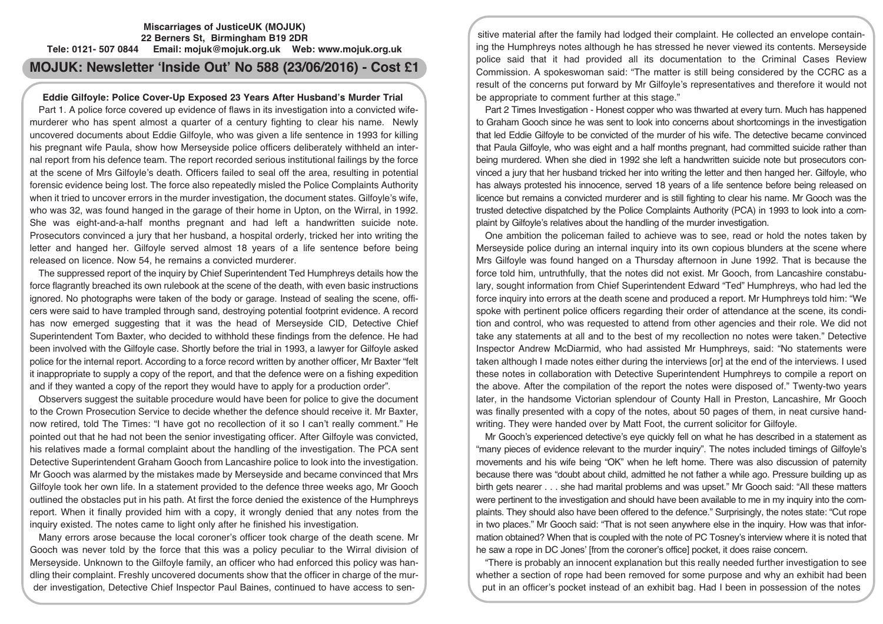#### **Miscarriages of JusticeUK (MOJUK) 22 Berners St, Birmingham B19 2DR Tele: 0121- 507 0844 Email: mojuk@mojuk.org.uk Web: www.mojuk.org.uk**

# **MOJUK: Newsletter 'Inside Out' No 588 (23/06/2016) - Cost £1**

#### **Eddie Gilfoyle: Police Cover-Up Exposed 23 Years After Husband's Murder Trial**

Part 1. A police force covered up evidence of flaws in its investigation into a convicted wifemurderer who has spent almost a quarter of a century fighting to clear his name. Newly uncovered documents about Eddie Gilfoyle, who was given a life sentence in 1993 for killing his pregnant wife Paula, show how Merseyside police officers deliberately withheld an internal report from his defence team. The report recorded serious institutional failings by the force at the scene of Mrs Gilfoyle's death. Officers failed to seal off the area, resulting in potential forensic evidence being lost. The force also repeatedly misled the Police Complaints Authority when it tried to uncover errors in the murder investigation, the document states. Gilfoyle's wife, who was 32, was found hanged in the garage of their home in Upton, on the Wirral, in 1992. She was eight-and-a-half months pregnant and had left a handwritten suicide note. Prosecutors convinced a jury that her husband, a hospital orderly, tricked her into writing the letter and hanged her. Gilfoyle served almost 18 years of a life sentence before being released on licence. Now 54, he remains a convicted murderer.

The suppressed report of the inquiry by Chief Superintendent Ted Humphreys details how the force flagrantly breached its own rulebook at the scene of the death, with even basic instructions ignored. No photographs were taken of the body or garage. Instead of sealing the scene, officers were said to have trampled through sand, destroying potential footprint evidence. A record has now emerged suggesting that it was the head of Merseyside CID, Detective Chief Superintendent Tom Baxter, who decided to withhold these findings from the defence. He had been involved with the Gilfoyle case. Shortly before the trial in 1993, a lawyer for Gilfoyle asked police for the internal report. According to a force record written by another officer, Mr Baxter "felt it inappropriate to supply a copy of the report, and that the defence were on a fishing expedition and if they wanted a copy of the report they would have to apply for a production order".

Observers suggest the suitable procedure would have been for police to give the document to the Crown Prosecution Service to decide whether the defence should receive it. Mr Baxter, now retired, told The Times: "I have got no recollection of it so I can't really comment." He pointed out that he had not been the senior investigating officer. After Gilfoyle was convicted, his relatives made a formal complaint about the handling of the investigation. The PCA sent Detective Superintendent Graham Gooch from Lancashire police to look into the investigation. Mr Gooch was alarmed by the mistakes made by Merseyside and became convinced that Mrs Gilfoyle took her own life. In a statement provided to the defence three weeks ago, Mr Gooch outlined the obstacles put in his path. At first the force denied the existence of the Humphreys report. When it finally provided him with a copy, it wrongly denied that any notes from the inquiry existed. The notes came to light only after he finished his investigation.

Many errors arose because the local coroner's officer took charge of the death scene. Mr Gooch was never told by the force that this was a policy peculiar to the Wirral division of Merseyside. Unknown to the Gilfoyle family, an officer who had enforced this policy was handling their complaint. Freshly uncovered documents show that the officer in charge of the murder investigation, Detective Chief Inspector Paul Baines, continued to have access to sen-

sitive material after the family had lodged their complaint. He collected an envelope containing the Humphreys notes although he has stressed he never viewed its contents. Merseyside police said that it had provided all its documentation to the Criminal Cases Review Commission. A spokeswoman said: "The matter is still being considered by the CCRC as a result of the concerns put forward by Mr Gilfoyle's representatives and therefore it would not be appropriate to comment further at this stage."

Part 2 Times Investigation - Honest copper who was thwarted at every turn. Much has happened to Graham Gooch since he was sent to look into concerns about shortcomings in the investigation that led Eddie Gilfoyle to be convicted of the murder of his wife. The detective became convinced that Paula Gilfoyle, who was eight and a half months pregnant, had committed suicide rather than being murdered. When she died in 1992 she left a handwritten suicide note but prosecutors convinced a jury that her husband tricked her into writing the letter and then hanged her. Gilfoyle, who has always protested his innocence, served 18 years of a life sentence before being released on licence but remains a convicted murderer and is still fighting to clear his name. Mr Gooch was the trusted detective dispatched by the Police Complaints Authority (PCA) in 1993 to look into a complaint by Gilfoyle's relatives about the handling of the murder investigation.

One ambition the policeman failed to achieve was to see, read or hold the notes taken by Merseyside police during an internal inquiry into its own copious blunders at the scene where Mrs Gilfoyle was found hanged on a Thursday afternoon in June 1992. That is because the force told him, untruthfully, that the notes did not exist. Mr Gooch, from Lancashire constabulary, sought information from Chief Superintendent Edward "Ted" Humphreys, who had led the force inquiry into errors at the death scene and produced a report. Mr Humphreys told him: "We spoke with pertinent police officers regarding their order of attendance at the scene, its condition and control, who was requested to attend from other agencies and their role. We did not take any statements at all and to the best of my recollection no notes were taken." Detective Inspector Andrew McDiarmid, who had assisted Mr Humphreys, said: "No statements were taken although I made notes either during the interviews [or] at the end of the interviews. I used these notes in collaboration with Detective Superintendent Humphreys to compile a report on the above. After the compilation of the report the notes were disposed of." Twenty-two years later, in the handsome Victorian splendour of County Hall in Preston, Lancashire, Mr Gooch was finally presented with a copy of the notes, about 50 pages of them, in neat cursive handwriting. They were handed over by Matt Foot, the current solicitor for Gilfoyle.

Mr Gooch's experienced detective's eye quickly fell on what he has described in a statement as "many pieces of evidence relevant to the murder inquiry". The notes included timings of Gilfoyle's movements and his wife being "OK" when he left home. There was also discussion of paternity because there was "doubt about child, admitted he not father a while ago. Pressure building up as birth gets nearer . . . she had marital problems and was upset." Mr Gooch said: "All these matters were pertinent to the investigation and should have been available to me in my inquiry into the complaints. They should also have been offered to the defence." Surprisingly, the notes state: "Cut rope in two places." Mr Gooch said: "That is not seen anywhere else in the inquiry. How was that information obtained? When that is coupled with the note of PC Tosney's interview where it is noted that he saw a rope in DC Jones' [from the coroner's office] pocket, it does raise concern.

"There is probably an innocent explanation but this really needed further investigation to see whether a section of rope had been removed for some purpose and why an exhibit had been put in an officer's pocket instead of an exhibit bag. Had I been in possession of the notes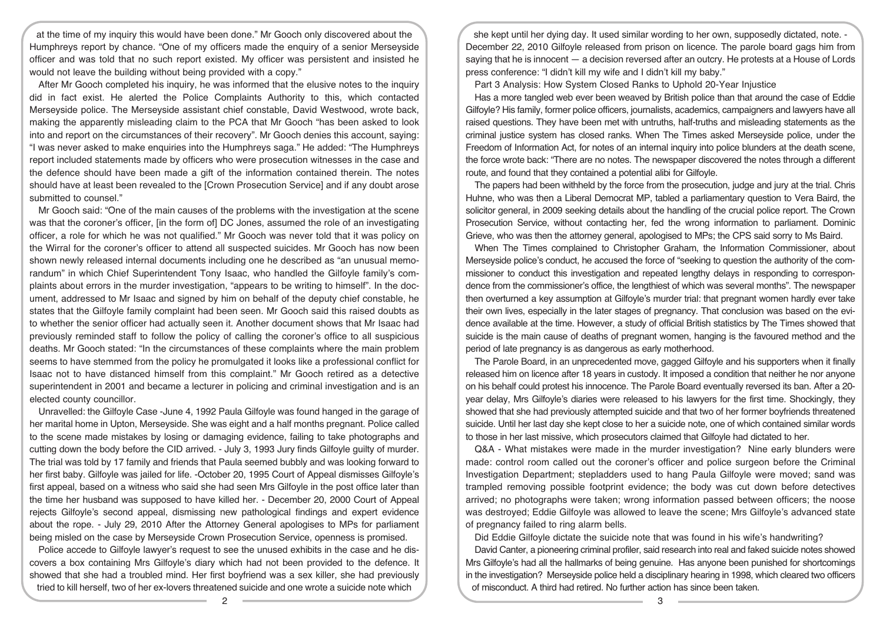at the time of my inquiry this would have been done." Mr Gooch only discovered about the Humphreys report by chance. "One of my officers made the enquiry of a senior Merseyside officer and was told that no such report existed. My officer was persistent and insisted he would not leave the building without being provided with a copy."

After Mr Gooch completed his inquiry, he was informed that the elusive notes to the inquiry did in fact exist. He alerted the Police Complaints Authority to this, which contacted Merseyside police. The Merseyside assistant chief constable, David Westwood, wrote back, making the apparently misleading claim to the PCA that Mr Gooch "has been asked to look into and report on the circumstances of their recovery". Mr Gooch denies this account, saying: "I was never asked to make enquiries into the Humphreys saga." He added: "The Humphreys report included statements made by officers who were prosecution witnesses in the case and the defence should have been made a gift of the information contained therein. The notes should have at least been revealed to the [Crown Prosecution Service] and if any doubt arose submitted to counsel."

Mr Gooch said: "One of the main causes of the problems with the investigation at the scene was that the coroner's officer, [in the form of] DC Jones, assumed the role of an investigating officer, a role for which he was not qualified." Mr Gooch was never told that it was policy on the Wirral for the coroner's officer to attend all suspected suicides. Mr Gooch has now been shown newly released internal documents including one he described as "an unusual memorandum" in which Chief Superintendent Tony Isaac, who handled the Gilfoyle family's complaints about errors in the murder investigation, "appears to be writing to himself". In the document, addressed to Mr Isaac and signed by him on behalf of the deputy chief constable, he states that the Gilfoyle family complaint had been seen. Mr Gooch said this raised doubts as to whether the senior officer had actually seen it. Another document shows that Mr Isaac had previously reminded staff to follow the policy of calling the coroner's office to all suspicious deaths. Mr Gooch stated: "In the circumstances of these complaints where the main problem seems to have stemmed from the policy he promulgated it looks like a professional conflict for Isaac not to have distanced himself from this complaint." Mr Gooch retired as a detective superintendent in 2001 and became a lecturer in policing and criminal investigation and is an elected county councillor.

Unravelled: the Gilfoyle Case -June 4, 1992 Paula Gilfoyle was found hanged in the garage of her marital home in Upton, Merseyside. She was eight and a half months pregnant. Police called to the scene made mistakes by losing or damaging evidence, failing to take photographs and cutting down the body before the CID arrived. - July 3, 1993 Jury finds Gilfoyle guilty of murder. The trial was told by 17 family and friends that Paula seemed bubbly and was looking forward to her first baby. Gilfoyle was jailed for life. -October 20, 1995 Court of Appeal dismisses Gilfoyle's first appeal, based on a witness who said she had seen Mrs Gilfoyle in the post office later than the time her husband was supposed to have killed her. - December 20, 2000 Court of Appeal rejects Gilfoyle's second appeal, dismissing new pathological findings and expert evidence about the rope. - July 29, 2010 After the Attorney General apologises to MPs for parliament being misled on the case by Merseyside Crown Prosecution Service, openness is promised.

Police accede to Gilfoyle lawyer's request to see the unused exhibits in the case and he discovers a box containing Mrs Gilfoyle's diary which had not been provided to the defence. It showed that she had a troubled mind. Her first boyfriend was a sex killer, she had previously tried to kill herself, two of her ex-lovers threatened suicide and one wrote a suicide note which

she kept until her dying day. It used similar wording to her own, supposedly dictated, note. - December 22, 2010 Gilfoyle released from prison on licence. The parole board gags him from saying that he is innocent — a decision reversed after an outcry. He protests at a House of Lords press conference: "I didn't kill my wife and I didn't kill my baby."

Part 3 Analysis: How System Closed Ranks to Uphold 20-Year Injustice

Has a more tangled web ever been weaved by British police than that around the case of Eddie Gilfoyle? His family, former police officers, journalists, academics, campaigners and lawyers have all raised questions. They have been met with untruths, half-truths and misleading statements as the criminal justice system has closed ranks. When The Times asked Merseyside police, under the Freedom of Information Act, for notes of an internal inquiry into police blunders at the death scene, the force wrote back: "There are no notes. The newspaper discovered the notes through a different route, and found that they contained a potential alibi for Gilfoyle.

The papers had been withheld by the force from the prosecution, judge and jury at the trial. Chris Huhne, who was then a Liberal Democrat MP, tabled a parliamentary question to Vera Baird, the solicitor general, in 2009 seeking details about the handling of the crucial police report. The Crown Prosecution Service, without contacting her, fed the wrong information to parliament. Dominic Grieve, who was then the attorney general, apologised to MPs; the CPS said sorry to Ms Baird.

When The Times complained to Christopher Graham, the Information Commissioner, about Merseyside police's conduct, he accused the force of "seeking to question the authority of the commissioner to conduct this investigation and repeated lengthy delays in responding to correspondence from the commissioner's office, the lengthiest of which was several months". The newspaper then overturned a key assumption at Gilfoyle's murder trial: that pregnant women hardly ever take their own lives, especially in the later stages of pregnancy. That conclusion was based on the evidence available at the time. However, a study of official British statistics by The Times showed that suicide is the main cause of deaths of pregnant women, hanging is the favoured method and the period of late pregnancy is as dangerous as early motherhood.

The Parole Board, in an unprecedented move, gagged Gilfoyle and his supporters when it finally released him on licence after 18 years in custody. It imposed a condition that neither he nor anyone on his behalf could protest his innocence. The Parole Board eventually reversed its ban. After a 20 year delay, Mrs Gilfoyle's diaries were released to his lawyers for the first time. Shockingly, they showed that she had previously attempted suicide and that two of her former boyfriends threatened suicide. Until her last day she kept close to her a suicide note, one of which contained similar words to those in her last missive, which prosecutors claimed that Gilfoyle had dictated to her.

Q&A - What mistakes were made in the murder investigation? Nine early blunders were made: control room called out the coroner's officer and police surgeon before the Criminal Investigation Department; stepladders used to hang Paula Gilfoyle were moved; sand was trampled removing possible footprint evidence; the body was cut down before detectives arrived; no photographs were taken; wrong information passed between officers; the noose was destroyed; Eddie Gilfoyle was allowed to leave the scene; Mrs Gilfoyle's advanced state of pregnancy failed to ring alarm bells.

Did Eddie Gilfoyle dictate the suicide note that was found in his wife's handwriting?

David Canter, a pioneering criminal profiler, said research into real and faked suicide notes showed Mrs Gilfoyle's had all the hallmarks of being genuine. Has anyone been punished for shortcomings in the investigation? Merseyside police held a disciplinary hearing in 1998, which cleared two officers of misconduct. A third had retired. No further action has since been taken.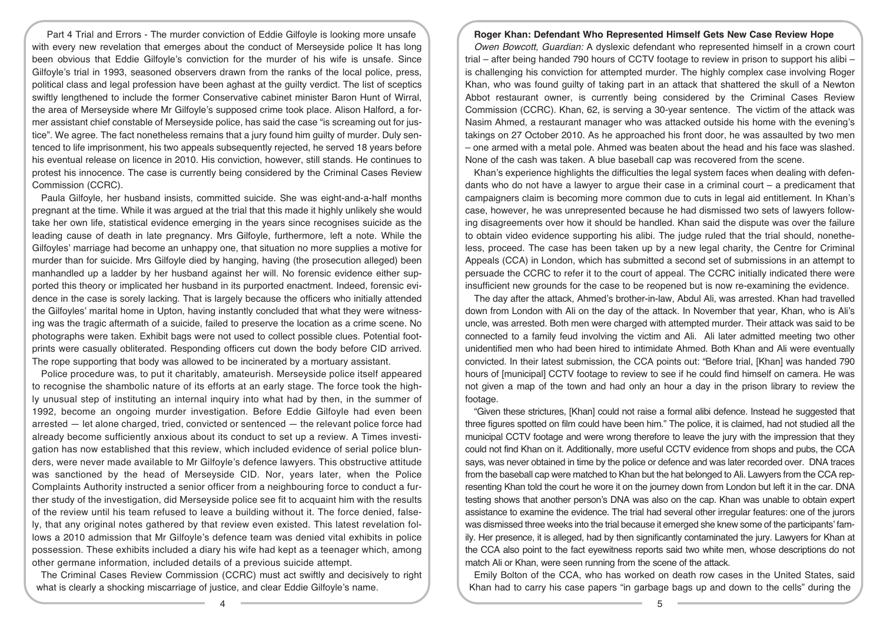Part 4 Trial and Errors - The murder conviction of Eddie Gilfoyle is looking more unsafe with every new revelation that emerges about the conduct of Merseyside police It has long been obvious that Eddie Gilfoyle's conviction for the murder of his wife is unsafe. Since Gilfoyle's trial in 1993, seasoned observers drawn from the ranks of the local police, press, political class and legal profession have been aghast at the guilty verdict. The list of sceptics swiftly lengthened to include the former Conservative cabinet minister Baron Hunt of Wirral, the area of Merseyside where Mr Gilfoyle's supposed crime took place. Alison Halford, a former assistant chief constable of Merseyside police, has said the case "is screaming out for justice". We agree. The fact nonetheless remains that a jury found him guilty of murder. Duly sentenced to life imprisonment, his two appeals subsequently rejected, he served 18 years before his eventual release on licence in 2010. His conviction, however, still stands. He continues to protest his innocence. The case is currently being considered by the Criminal Cases Review Commission (CCRC).

Paula Gilfoyle, her husband insists, committed suicide. She was eight-and-a-half months pregnant at the time. While it was argued at the trial that this made it highly unlikely she would take her own life, statistical evidence emerging in the years since recognises suicide as the leading cause of death in late pregnancy. Mrs Gilfoyle, furthermore, left a note. While the Gilfoyles' marriage had become an unhappy one, that situation no more supplies a motive for murder than for suicide. Mrs Gilfoyle died by hanging, having (the prosecution alleged) been manhandled up a ladder by her husband against her will. No forensic evidence either supported this theory or implicated her husband in its purported enactment. Indeed, forensic evidence in the case is sorely lacking. That is largely because the officers who initially attended the Gilfoyles' marital home in Upton, having instantly concluded that what they were witnessing was the tragic aftermath of a suicide, failed to preserve the location as a crime scene. No photographs were taken. Exhibit bags were not used to collect possible clues. Potential footprints were casually obliterated. Responding officers cut down the body before CID arrived. The rope supporting that body was allowed to be incinerated by a mortuary assistant.

Police procedure was, to put it charitably, amateurish. Merseyside police itself appeared to recognise the shambolic nature of its efforts at an early stage. The force took the highly unusual step of instituting an internal inquiry into what had by then, in the summer of 1992, become an ongoing murder investigation. Before Eddie Gilfoyle had even been arrested — let alone charged, tried, convicted or sentenced — the relevant police force had already become sufficiently anxious about its conduct to set up a review. A Times investigation has now established that this review, which included evidence of serial police blunders, were never made available to Mr Gilfoyle's defence lawyers. This obstructive attitude was sanctioned by the head of Merseyside CID. Nor, years later, when the Police Complaints Authority instructed a senior officer from a neighbouring force to conduct a further study of the investigation, did Merseyside police see fit to acquaint him with the results of the review until his team refused to leave a building without it. The force denied, falsely, that any original notes gathered by that review even existed. This latest revelation follows a 2010 admission that Mr Gilfoyle's defence team was denied vital exhibits in police possession. These exhibits included a diary his wife had kept as a teenager which, among other germane information, included details of a previous suicide attempt.

The Criminal Cases Review Commission (CCRC) must act swiftly and decisively to right what is clearly a shocking miscarriage of justice, and clear Eddie Gilfoyle's name.

#### **Roger Khan: Defendant Who Represented Himself Gets New Case Review Hope**

*Owen Bowcott, Guardian:* A dyslexic defendant who represented himself in a crown court trial – after being handed 790 hours of CCTV footage to review in prison to support his alibi – is challenging his conviction for attempted murder. The highly complex case involving Roger Khan, who was found guilty of taking part in an attack that shattered the skull of a Newton Abbot restaurant owner, is currently being considered by the Criminal Cases Review Commission (CCRC). Khan, 62, is serving a 30-year sentence. The victim of the attack was Nasim Ahmed, a restaurant manager who was attacked outside his home with the evening's takings on 27 October 2010. As he approached his front door, he was assaulted by two men – one armed with a metal pole. Ahmed was beaten about the head and his face was slashed. None of the cash was taken. A blue baseball cap was recovered from the scene.

Khan's experience highlights the difficulties the legal system faces when dealing with defendants who do not have a lawyer to argue their case in a criminal court – a predicament that campaigners claim is becoming more common due to cuts in legal aid entitlement. In Khan's case, however, he was unrepresented because he had dismissed two sets of lawyers following disagreements over how it should be handled. Khan said the dispute was over the failure to obtain video evidence supporting his alibi. The judge ruled that the trial should, nonetheless, proceed. The case has been taken up by a new legal charity, the Centre for Criminal Appeals (CCA) in London, which has submitted a second set of submissions in an attempt to persuade the CCRC to refer it to the court of appeal. The CCRC initially indicated there were insufficient new grounds for the case to be reopened but is now re-examining the evidence.

The day after the attack, Ahmed's brother-in-law, Abdul Ali, was arrested. Khan had travelled down from London with Ali on the day of the attack. In November that year, Khan, who is Ali's uncle, was arrested. Both men were charged with attempted murder. Their attack was said to be connected to a family feud involving the victim and Ali. Ali later admitted meeting two other unidentified men who had been hired to intimidate Ahmed. Both Khan and Ali were eventually convicted. In their latest submission, the CCA points out: "Before trial, [Khan] was handed 790 hours of [municipal] CCTV footage to review to see if he could find himself on camera. He was not given a map of the town and had only an hour a day in the prison library to review the footage.

"Given these strictures, [Khan] could not raise a formal alibi defence. Instead he suggested that three figures spotted on film could have been him." The police, it is claimed, had not studied all the municipal CCTV footage and were wrong therefore to leave the jury with the impression that they could not find Khan on it. Additionally, more useful CCTV evidence from shops and pubs, the CCA says, was never obtained in time by the police or defence and was later recorded over. DNA traces from the baseball cap were matched to Khan but the hat belonged to Ali. Lawyers from the CCA representing Khan told the court he wore it on the journey down from London but left it in the car. DNA testing shows that another person's DNA was also on the cap. Khan was unable to obtain expert assistance to examine the evidence. The trial had several other irregular features: one of the jurors was dismissed three weeks into the trial because it emerged she knew some of the participants' family. Her presence, it is alleged, had by then significantly contaminated the jury. Lawyers for Khan at the CCA also point to the fact eyewitness reports said two white men, whose descriptions do not match Ali or Khan, were seen running from the scene of the attack.

Emily Bolton of the CCA, who has worked on death row cases in the United States, said Khan had to carry his case papers "in garbage bags up and down to the cells" during the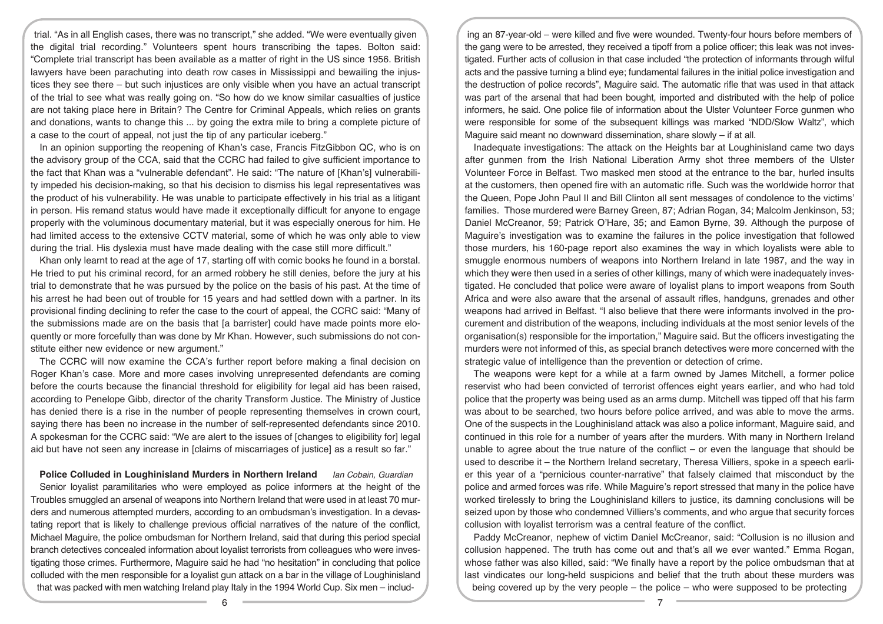trial. "As in all English cases, there was no transcript," she added. "We were eventually given the digital trial recording." Volunteers spent hours transcribing the tapes. Bolton said: "Complete trial transcript has been available as a matter of right in the US since 1956. British lawyers have been parachuting into death row cases in Mississippi and bewailing the injustices they see there – but such injustices are only visible when you have an actual transcript of the trial to see what was really going on. "So how do we know similar casualties of justice are not taking place here in Britain? The Centre for Criminal Appeals, which relies on grants and donations, wants to change this ... by going the extra mile to bring a complete picture of a case to the court of appeal, not just the tip of any particular iceberg."

In an opinion supporting the reopening of Khan's case, Francis FitzGibbon QC, who is on the advisory group of the CCA, said that the CCRC had failed to give sufficient importance to the fact that Khan was a "vulnerable defendant". He said: "The nature of [Khan's] vulnerability impeded his decision-making, so that his decision to dismiss his legal representatives was the product of his vulnerability. He was unable to participate effectively in his trial as a litigant in person. His remand status would have made it exceptionally difficult for anyone to engage properly with the voluminous documentary material, but it was especially onerous for him. He had limited access to the extensive CCTV material, some of which he was only able to view during the trial. His dyslexia must have made dealing with the case still more difficult."

Khan only learnt to read at the age of 17, starting off with comic books he found in a borstal. He tried to put his criminal record, for an armed robbery he still denies, before the jury at his trial to demonstrate that he was pursued by the police on the basis of his past. At the time of his arrest he had been out of trouble for 15 years and had settled down with a partner. In its provisional finding declining to refer the case to the court of appeal, the CCRC said: "Many of the submissions made are on the basis that [a barrister] could have made points more eloquently or more forcefully than was done by Mr Khan. However, such submissions do not constitute either new evidence or new argument."

The CCRC will now examine the CCA's further report before making a final decision on Roger Khan's case. More and more cases involving unrepresented defendants are coming before the courts because the financial threshold for eligibility for legal aid has been raised, according to Penelope Gibb, director of the charity Transform Justice. The Ministry of Justice has denied there is a rise in the number of people representing themselves in crown court, saying there has been no increase in the number of self-represented defendants since 2010. A spokesman for the CCRC said: "We are alert to the issues of [changes to eligibility for] legal aid but have not seen any increase in [claims of miscarriages of justice] as a result so far."

**Police Colluded in Loughinisland Murders in Northern Ireland** *Ian Cobain, Guardian* Senior loyalist paramilitaries who were employed as police informers at the height of the Troubles smuggled an arsenal of weapons into Northern Ireland that were used in at least 70 murders and numerous attempted murders, according to an ombudsman's investigation. In a devastating report that is likely to challenge previous official narratives of the nature of the conflict, Michael Maguire, the police ombudsman for Northern Ireland, said that during this period special branch detectives concealed information about loyalist terrorists from colleagues who were investigating those crimes. Furthermore, Maguire said he had "no hesitation" in concluding that police colluded with the men responsible for a loyalist gun attack on a bar in the village of Loughinisland that was packed with men watching Ireland play Italy in the 1994 World Cup. Six men – includ-

ing an 87-year-old – were killed and five were wounded. Twenty-four hours before members of the gang were to be arrested, they received a tipoff from a police officer; this leak was not investigated. Further acts of collusion in that case included "the protection of informants through wilful acts and the passive turning a blind eye; fundamental failures in the initial police investigation and the destruction of police records", Maguire said. The automatic rifle that was used in that attack was part of the arsenal that had been bought, imported and distributed with the help of police informers, he said. One police file of information about the Ulster Volunteer Force gunmen who were responsible for some of the subsequent killings was marked "NDD/Slow Waltz", which Maguire said meant no downward dissemination, share slowly – if at all.

Inadequate investigations: The attack on the Heights bar at Loughinisland came two days after gunmen from the Irish National Liberation Army shot three members of the Ulster Volunteer Force in Belfast. Two masked men stood at the entrance to the bar, hurled insults at the customers, then opened fire with an automatic rifle. Such was the worldwide horror that the Queen, Pope John Paul II and Bill Clinton all sent messages of condolence to the victims' families. Those murdered were Barney Green, 87; Adrian Rogan, 34; Malcolm Jenkinson, 53; Daniel McCreanor, 59; Patrick O'Hare, 35; and Eamon Byrne, 39. Although the purpose of Maguire's investigation was to examine the failures in the police investigation that followed those murders, his 160-page report also examines the way in which loyalists were able to smuggle enormous numbers of weapons into Northern Ireland in late 1987, and the way in which they were then used in a series of other killings, many of which were inadequately investigated. He concluded that police were aware of loyalist plans to import weapons from South Africa and were also aware that the arsenal of assault rifles, handguns, grenades and other weapons had arrived in Belfast. "I also believe that there were informants involved in the procurement and distribution of the weapons, including individuals at the most senior levels of the organisation(s) responsible for the importation," Maguire said. But the officers investigating the murders were not informed of this, as special branch detectives were more concerned with the strategic value of intelligence than the prevention or detection of crime.

The weapons were kept for a while at a farm owned by James Mitchell, a former police reservist who had been convicted of terrorist offences eight years earlier, and who had told police that the property was being used as an arms dump. Mitchell was tipped off that his farm was about to be searched, two hours before police arrived, and was able to move the arms. One of the suspects in the Loughinisland attack was also a police informant, Maguire said, and continued in this role for a number of years after the murders. With many in Northern Ireland unable to agree about the true nature of the conflict  $-$  or even the language that should be used to describe it – the Northern Ireland secretary, Theresa Villiers, spoke in a speech earlier this year of a "pernicious counter-narrative" that falsely claimed that misconduct by the police and armed forces was rife. While Maguire's report stressed that many in the police have worked tirelessly to bring the Loughinisland killers to justice, its damning conclusions will be seized upon by those who condemned Villiers's comments, and who argue that security forces collusion with loyalist terrorism was a central feature of the conflict.

Paddy McCreanor, nephew of victim Daniel McCreanor, said: "Collusion is no illusion and collusion happened. The truth has come out and that's all we ever wanted." Emma Rogan, whose father was also killed, said: "We finally have a report by the police ombudsman that at last vindicates our long-held suspicions and belief that the truth about these murders was being covered up by the very people – the police – who were supposed to be protecting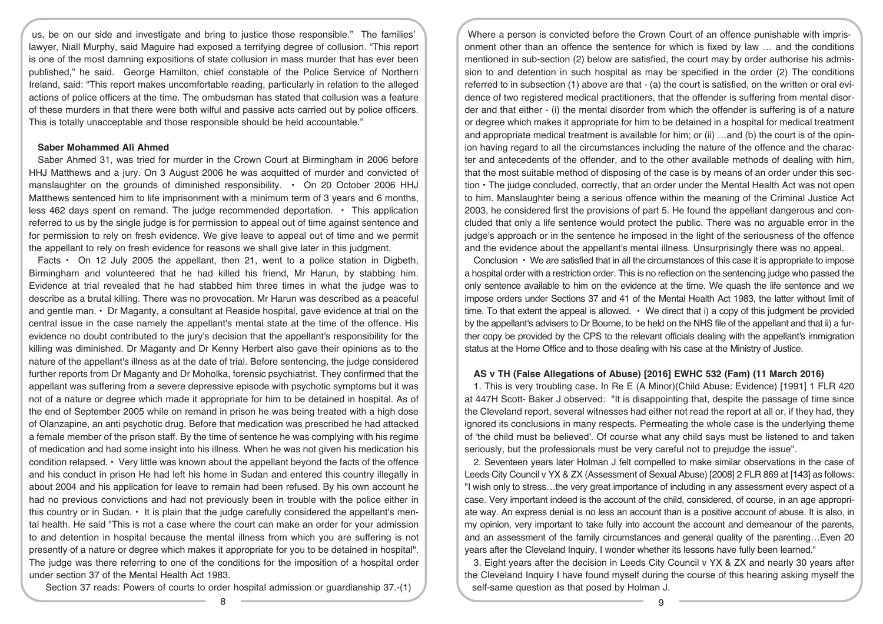us, be on our side and investigate and bring to justice those responsible." The families' lawyer, Niall Murphy, said Maguire had exposed a terrifying degree of collusion. "This report is one of the most damning expositions of state collusion in mass murder that has ever been published," he said. George Hamilton, chief constable of the Police Service of Northern Ireland, said: "This report makes uncomfortable reading, particularly in relation to the alleged actions of police officers at the time. The ombudsman has stated that collusion was a feature of these murders in that there were both wilful and passive acts carried out by police officers. This is totally unacceptable and those responsible should be held accountable."

### **Saber Mohammed Ali Ahmed**

Saber Ahmed 31, was tried for murder in the Crown Court at Birmingham in 2006 before HHJ Matthews and a jury. On 3 August 2006 he was acquitted of murder and convicted of manslaughter on the grounds of diminished responsibility. • On 20 October 2006 HHJ Matthews sentenced him to life imprisonment with a minimum term of 3 years and 6 months, less 462 days spent on remand. The judge recommended deportation. • This application referred to us by the single judge is for permission to appeal out of time against sentence and for permission to rely on fresh evidence. We give leave to appeal out of time and we permit the appellant to rely on fresh evidence for reasons we shall give later in this judgment.

Facts • On 12 July 2005 the appellant, then 21, went to a police station in Digbeth, Birmingham and volunteered that he had killed his friend, Mr Harun, by stabbing him. Evidence at trial revealed that he had stabbed him three times in what the judge was to describe as a brutal killing. There was no provocation. Mr Harun was described as a peaceful and gentle man. • Dr Maganty, a consultant at Reaside hospital, gave evidence at trial on the central issue in the case namely the appellant's mental state at the time of the offence. His evidence no doubt contributed to the jury's decision that the appellant's responsibility for the killing was diminished. Dr Maganty and Dr Kenny Herbert also gave their opinions as to the nature of the appellant's illness as at the date of trial. Before sentencing, the judge considered further reports from Dr Maganty and Dr Moholka, forensic psychiatrist. They confirmed that the appellant was suffering from a severe depressive episode with psychotic symptoms but it was not of a nature or degree which made it appropriate for him to be detained in hospital. As of the end of September 2005 while on remand in prison he was being treated with a high dose of Olanzapine, an anti psychotic drug. Before that medication was prescribed he had attacked a female member of the prison staff. By the time of sentence he was complying with his regime of medication and had some insight into his illness. When he was not given his medication his condition relapsed. • Very little was known about the appellant beyond the facts of the offence and his conduct in prison He had left his home in Sudan and entered this country illegally in about 2004 and his application for leave to remain had been refused. By his own account he had no previous convictions and had not previously been in trouble with the police either in this country or in Sudan. • It is plain that the judge carefully considered the appellant's mental health. He said "This is not a case where the court can make an order for your admission to and detention in hospital because the mental illness from which you are suffering is not presently of a nature or degree which makes it appropriate for you to be detained in hospital". The judge was there referring to one of the conditions for the imposition of a hospital order under section 37 of the Mental Health Act 1983.

Section 37 reads: Powers of courts to order hospital admission or guardianship 37.-(1)

Where a person is convicted before the Crown Court of an offence punishable with imprisonment other than an offence the sentence for which is fixed by law … and the conditions mentioned in sub-section (2) below are satisfied, the court may by order authorise his admission to and detention in such hospital as may be specified in the order (2) The conditions referred to in subsection (1) above are that - (a) the court is satisfied, on the written or oral evidence of two registered medical practitioners, that the offender is suffering from mental disorder and that either - (i) the mental disorder from which the offender is suffering is of a nature or degree which makes it appropriate for him to be detained in a hospital for medical treatment and appropriate medical treatment is available for him; or (ii) …and (b) the court is of the opinion having regard to all the circumstances including the nature of the offence and the character and antecedents of the offender, and to the other available methods of dealing with him, that the most suitable method of disposing of the case is by means of an order under this section • The judge concluded, correctly, that an order under the Mental Health Act was not open to him. Manslaughter being a serious offence within the meaning of the Criminal Justice Act 2003, he considered first the provisions of part 5. He found the appellant dangerous and concluded that only a life sentence would protect the public. There was no arguable error in the judge's approach or in the sentence he imposed in the light of the seriousness of the offence and the evidence about the appellant's mental illness. Unsurprisingly there was no appeal.

Conclusion • We are satisfied that in all the circumstances of this case it is appropriate to impose a hospital order with a restriction order. This is no reflection on the sentencing judge who passed the only sentence available to him on the evidence at the time. We quash the life sentence and we impose orders under Sections 37 and 41 of the Mental Health Act 1983, the latter without limit of time. To that extent the appeal is allowed.  $\cdot$  We direct that i) a copy of this judgment be provided by the appellant's advisers to Dr Bourne, to be held on the NHS file of the appellant and that ii) a further copy be provided by the CPS to the relevant officials dealing with the appellant's immigration status at the Home Office and to those dealing with his case at the Ministry of Justice.

#### **AS v TH (False Allegations of Abuse) [2016] EWHC 532 (Fam) (11 March 2016)**

1. This is very troubling case. In Re E (A Minor)(Child Abuse: Evidence) [1991] 1 FLR 420 at 447H Scott- Baker J observed: "It is disappointing that, despite the passage of time since the Cleveland report, several witnesses had either not read the report at all or, if they had, they ignored its conclusions in many respects. Permeating the whole case is the underlying theme of 'the child must be believed'. Of course what any child says must be listened to and taken seriously, but the professionals must be very careful not to prejudge the issue".

2. Seventeen years later Holman J felt compelled to make similar observations in the case of Leeds City Council v YX & ZX (Assessment of Sexual Abuse) [2008] 2 FLR 869 at [143] as follows: "I wish only to stress…the very great importance of including in any assessment every aspect of a case. Very important indeed is the account of the child, considered, of course, in an age appropriate way. An express denial is no less an account than is a positive account of abuse. It is also, in my opinion, very important to take fully into account the account and demeanour of the parents, and an assessment of the family circumstances and general quality of the parenting…Even 20 years after the Cleveland Inquiry, I wonder whether its lessons have fully been learned."

3. Eight years after the decision in Leeds City Council v YX & ZX and nearly 30 years after the Cleveland Inquiry I have found myself during the course of this hearing asking myself the self-same question as that posed by Holman J.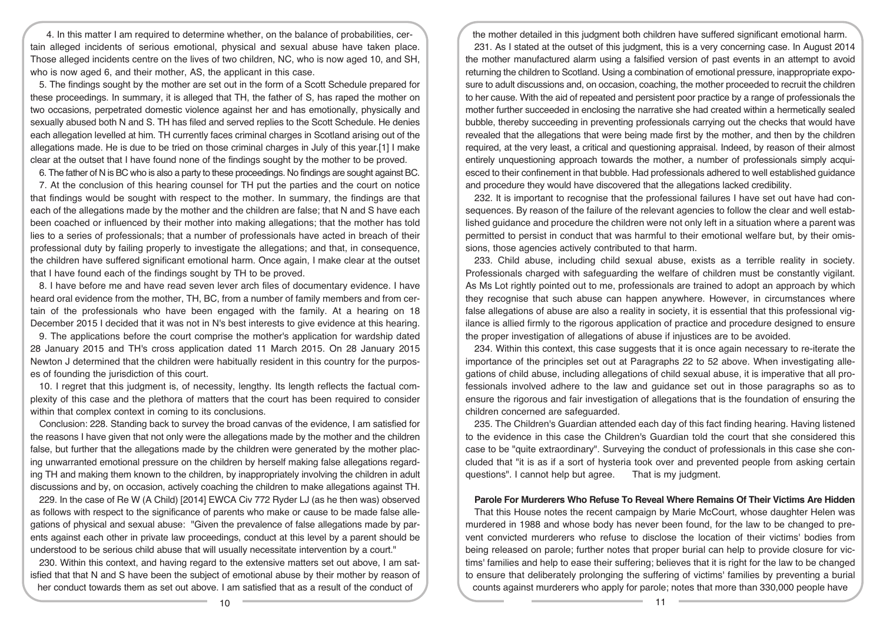4. In this matter I am required to determine whether, on the balance of probabilities, certain alleged incidents of serious emotional, physical and sexual abuse have taken place. Those alleged incidents centre on the lives of two children, NC, who is now aged 10, and SH, who is now aged 6, and their mother, AS, the applicant in this case.

5. The findings sought by the mother are set out in the form of a Scott Schedule prepared for these proceedings. In summary, it is alleged that TH, the father of S, has raped the mother on two occasions, perpetrated domestic violence against her and has emotionally, physically and sexually abused both N and S. TH has filed and served replies to the Scott Schedule. He denies each allegation levelled at him. TH currently faces criminal charges in Scotland arising out of the allegations made. He is due to be tried on those criminal charges in July of this year.[1] I make clear at the outset that I have found none of the findings sought by the mother to be proved.

6. The father of N is BC who is also a party to these proceedings. No findings are sought against BC.

7. At the conclusion of this hearing counsel for TH put the parties and the court on notice that findings would be sought with respect to the mother. In summary, the findings are that each of the allegations made by the mother and the children are false; that N and S have each been coached or influenced by their mother into making allegations; that the mother has told lies to a series of professionals; that a number of professionals have acted in breach of their professional duty by failing properly to investigate the allegations; and that, in consequence, the children have suffered significant emotional harm. Once again, I make clear at the outset that I have found each of the findings sought by TH to be proved.

8. I have before me and have read seven lever arch files of documentary evidence. I have heard oral evidence from the mother, TH, BC, from a number of family members and from certain of the professionals who have been engaged with the family. At a hearing on 18 December 2015 I decided that it was not in N's best interests to give evidence at this hearing.

9. The applications before the court comprise the mother's application for wardship dated 28 January 2015 and TH's cross application dated 11 March 2015. On 28 January 2015 Newton J determined that the children were habitually resident in this country for the purposes of founding the jurisdiction of this court.

10. I regret that this judgment is, of necessity, lengthy. Its length reflects the factual complexity of this case and the plethora of matters that the court has been required to consider within that complex context in coming to its conclusions.

Conclusion: 228. Standing back to survey the broad canvas of the evidence, I am satisfied for the reasons I have given that not only were the allegations made by the mother and the children false, but further that the allegations made by the children were generated by the mother placing unwarranted emotional pressure on the children by herself making false allegations regarding TH and making them known to the children, by inappropriately involving the children in adult discussions and by, on occasion, actively coaching the children to make allegations against TH.

229. In the case of Re W (A Child) [2014] EWCA Civ 772 Ryder LJ (as he then was) observed as follows with respect to the significance of parents who make or cause to be made false allegations of physical and sexual abuse: "Given the prevalence of false allegations made by parents against each other in private law proceedings, conduct at this level by a parent should be understood to be serious child abuse that will usually necessitate intervention by a court."

230. Within this context, and having regard to the extensive matters set out above, I am satisfied that that N and S have been the subject of emotional abuse by their mother by reason of her conduct towards them as set out above. I am satisfied that as a result of the conduct of

the mother detailed in this judgment both children have suffered significant emotional harm. 231. As I stated at the outset of this judgment, this is a very concerning case. In August 2014 the mother manufactured alarm using a falsified version of past events in an attempt to avoid returning the children to Scotland. Using a combination of emotional pressure, inappropriate exposure to adult discussions and, on occasion, coaching, the mother proceeded to recruit the children to her cause. With the aid of repeated and persistent poor practice by a range of professionals the mother further succeeded in enclosing the narrative she had created within a hermetically sealed bubble, thereby succeeding in preventing professionals carrying out the checks that would have revealed that the allegations that were being made first by the mother, and then by the children required, at the very least, a critical and questioning appraisal. Indeed, by reason of their almost entirely unquestioning approach towards the mother, a number of professionals simply acquiesced to their confinement in that bubble. Had professionals adhered to well established guidance and procedure they would have discovered that the allegations lacked credibility.

232. It is important to recognise that the professional failures I have set out have had consequences. By reason of the failure of the relevant agencies to follow the clear and well established guidance and procedure the children were not only left in a situation where a parent was permitted to persist in conduct that was harmful to their emotional welfare but, by their omissions, those agencies actively contributed to that harm.

233. Child abuse, including child sexual abuse, exists as a terrible reality in society. Professionals charged with safeguarding the welfare of children must be constantly vigilant. As Ms Lot rightly pointed out to me, professionals are trained to adopt an approach by which they recognise that such abuse can happen anywhere. However, in circumstances where false allegations of abuse are also a reality in society, it is essential that this professional vigilance is allied firmly to the rigorous application of practice and procedure designed to ensure the proper investigation of allegations of abuse if injustices are to be avoided.

234. Within this context, this case suggests that it is once again necessary to re-iterate the importance of the principles set out at Paragraphs 22 to 52 above. When investigating allegations of child abuse, including allegations of child sexual abuse, it is imperative that all professionals involved adhere to the law and guidance set out in those paragraphs so as to ensure the rigorous and fair investigation of allegations that is the foundation of ensuring the children concerned are safeguarded.

235. The Children's Guardian attended each day of this fact finding hearing. Having listened to the evidence in this case the Children's Guardian told the court that she considered this case to be "quite extraordinary". Surveying the conduct of professionals in this case she concluded that "it is as if a sort of hysteria took over and prevented people from asking certain questions". I cannot help but agree. That is my judgment.

## **Parole For Murderers Who Refuse To Reveal Where Remains Of Their Victims Are Hidden**

That this House notes the recent campaign by Marie McCourt, whose daughter Helen was murdered in 1988 and whose body has never been found, for the law to be changed to prevent convicted murderers who refuse to disclose the location of their victims' bodies from being released on parole; further notes that proper burial can help to provide closure for victims' families and help to ease their suffering; believes that it is right for the law to be changed to ensure that deliberately prolonging the suffering of victims' families by preventing a burial counts against murderers who apply for parole; notes that more than 330,000 people have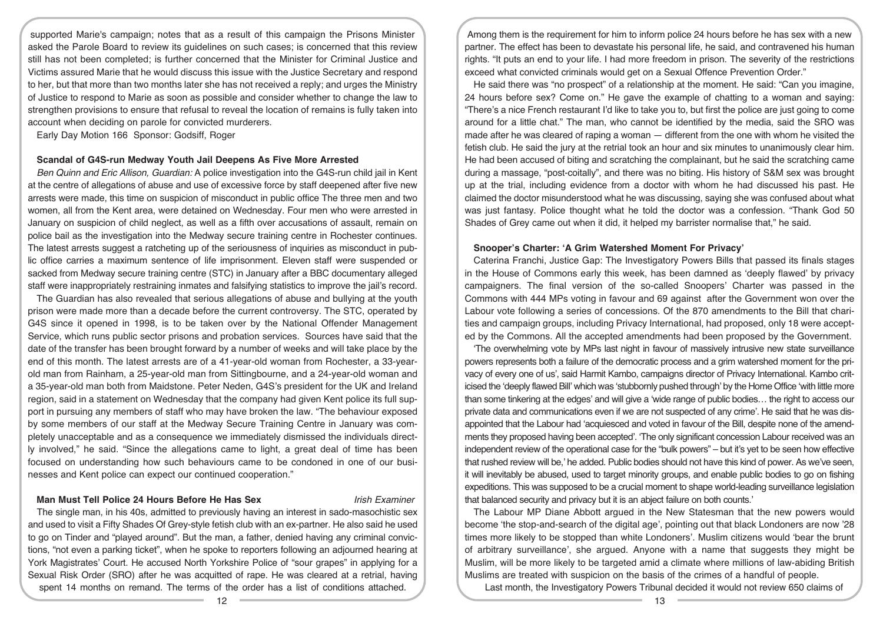supported Marie's campaign; notes that as a result of this campaign the Prisons Minister asked the Parole Board to review its guidelines on such cases; is concerned that this review still has not been completed; is further concerned that the Minister for Criminal Justice and Victims assured Marie that he would discuss this issue with the Justice Secretary and respond to her, but that more than two months later she has not received a reply; and urges the Ministry of Justice to respond to Marie as soon as possible and consider whether to change the law to strengthen provisions to ensure that refusal to reveal the location of remains is fully taken into account when deciding on parole for convicted murderers.

Early Day Motion 166 Sponsor: Godsiff, Roger

#### **Scandal of G4S-run Medway Youth Jail Deepens As Five More Arrested**

*Ben Quinn and Eric Allison, Guardian:* A police investigation into the G4S-run child jail in Kent at the centre of allegations of abuse and use of excessive force by staff deepened after five new arrests were made, this time on suspicion of misconduct in public office The three men and two women, all from the Kent area, were detained on Wednesday. Four men who were arrested in January on suspicion of child neglect, as well as a fifth over accusations of assault, remain on police bail as the investigation into the Medway secure training centre in Rochester continues. The latest arrests suggest a ratcheting up of the seriousness of inquiries as misconduct in public office carries a maximum sentence of life imprisonment. Eleven staff were suspended or sacked from Medway secure training centre (STC) in January after a BBC documentary alleged staff were inappropriately restraining inmates and falsifying statistics to improve the jail's record.

The Guardian has also revealed that serious allegations of abuse and bullying at the youth prison were made more than a decade before the current controversy. The STC, operated by G4S since it opened in 1998, is to be taken over by the National Offender Management Service, which runs public sector prisons and probation services. Sources have said that the date of the transfer has been brought forward by a number of weeks and will take place by the end of this month. The latest arrests are of a 41-year-old woman from Rochester, a 33-yearold man from Rainham, a 25-year-old man from Sittingbourne, and a 24-year-old woman and a 35-year-old man both from Maidstone. Peter Neden, G4S's president for the UK and Ireland region, said in a statement on Wednesday that the company had given Kent police its full support in pursuing any members of staff who may have broken the law. "The behaviour exposed by some members of our staff at the Medway Secure Training Centre in January was completely unacceptable and as a consequence we immediately dismissed the individuals directly involved," he said. "Since the allegations came to light, a great deal of time has been focused on understanding how such behaviours came to be condoned in one of our businesses and Kent police can expect our continued cooperation."

## **Man Must Tell Police 24 Hours Before He Has Sex** *Irish Examiner*

The single man, in his 40s, admitted to previously having an interest in sado-masochistic sex and used to visit a Fifty Shades Of Grey-style fetish club with an ex-partner. He also said he used to go on Tinder and "played around". But the man, a father, denied having any criminal convictions, "not even a parking ticket", when he spoke to reporters following an adjourned hearing at York Magistrates' Court. He accused North Yorkshire Police of "sour grapes" in applying for a Sexual Risk Order (SRO) after he was acquitted of rape. He was cleared at a retrial, having spent 14 months on remand. The terms of the order has a list of conditions attached.

Among them is the requirement for him to inform police 24 hours before he has sex with a new partner. The effect has been to devastate his personal life, he said, and contravened his human rights. "It puts an end to your life. I had more freedom in prison. The severity of the restrictions exceed what convicted criminals would get on a Sexual Offence Prevention Order."

He said there was "no prospect" of a relationship at the moment. He said: "Can you imagine, 24 hours before sex? Come on." He gave the example of chatting to a woman and saying: "There's a nice French restaurant I'd like to take you to, but first the police are just going to come around for a little chat." The man, who cannot be identified by the media, said the SRO was made after he was cleared of raping a woman — different from the one with whom he visited the fetish club. He said the jury at the retrial took an hour and six minutes to unanimously clear him. He had been accused of biting and scratching the complainant, but he said the scratching came during a massage, "post-coitally", and there was no biting. His history of S&M sex was brought up at the trial, including evidence from a doctor with whom he had discussed his past. He claimed the doctor misunderstood what he was discussing, saying she was confused about what was just fantasy. Police thought what he told the doctor was a confession. "Thank God 50 Shades of Grey came out when it did, it helped my barrister normalise that," he said.

#### **Snooper's Charter: 'A Grim Watershed Moment For Privacy'**

Caterina Franchi, Justice Gap: The Investigatory Powers Bills that passed its finals stages in the House of Commons early this week, has been damned as 'deeply flawed' by privacy campaigners. The final version of the so-called Snoopers' Charter was passed in the Commons with 444 MPs voting in favour and 69 against after the Government won over the Labour vote following a series of concessions. Of the 870 amendments to the Bill that charities and campaign groups, including Privacy International, had proposed, only 18 were accepted by the Commons. All the accepted amendments had been proposed by the Government.

'The overwhelming vote by MPs last night in favour of massively intrusive new state surveillance powers represents both a failure of the democratic process and a grim watershed moment for the privacy of every one of us', said Harmit Kambo, campaigns director of Privacy International. Kambo criticised the 'deeply flawed Bill' which was 'stubbornly pushed through' by the Home Office 'with little more than some tinkering at the edges' and will give a 'wide range of public bodies… the right to access our private data and communications even if we are not suspected of any crime'. He said that he was disappointed that the Labour had 'acquiesced and voted in favour of the Bill, despite none of the amendments they proposed having been accepted'. 'The only significant concession Labour received was an independent review of the operational case for the "bulk powers" – but it's yet to be seen how effective that rushed review will be,' he added. Public bodies should not have this kind of power. As we've seen, it will inevitably be abused, used to target minority groups, and enable public bodies to go on fishing expeditions. This was supposed to be a crucial moment to shape world-leading surveillance legislation that balanced security and privacy but it is an abject failure on both counts.'

The Labour MP Diane Abbott argued in the New Statesman that the new powers would become 'the stop-and-search of the digital age', pointing out that black Londoners are now '28 times more likely to be stopped than white Londoners'. Muslim citizens would 'bear the brunt of arbitrary surveillance', she argued. Anyone with a name that suggests they might be Muslim, will be more likely to be targeted amid a climate where millions of law-abiding British Muslims are treated with suspicion on the basis of the crimes of a handful of people.

Last month, the Investigatory Powers Tribunal decided it would not review 650 claims of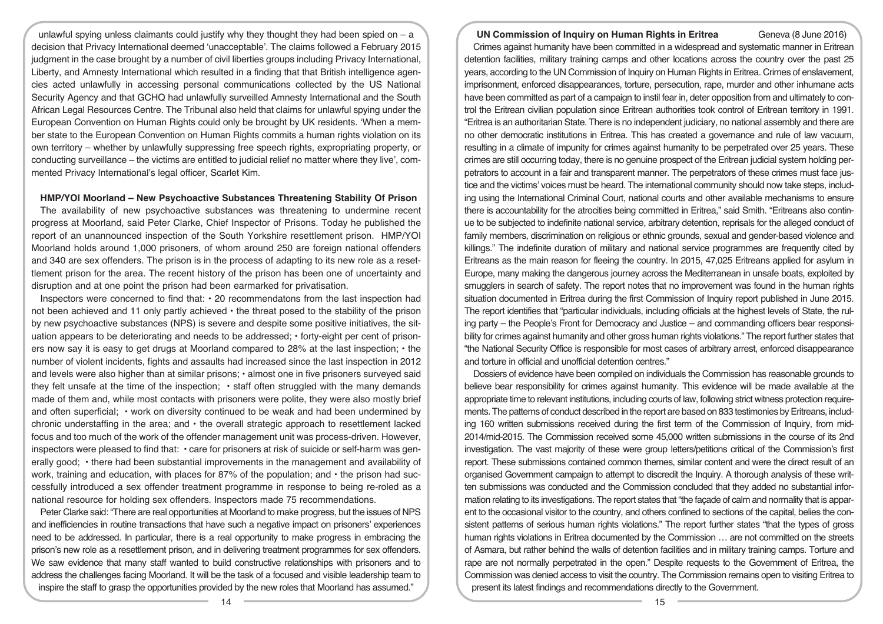unlawful spying unless claimants could justify why they thought they had been spied on  $-$  a decision that Privacy International deemed 'unacceptable'. The claims followed a February 2015 judgment in the case brought by a number of civil liberties groups including Privacy International, Liberty, and Amnesty International which resulted in a finding that that British intelligence agencies acted unlawfully in accessing personal communications collected by the US National Security Agency and that GCHQ had unlawfully surveilled Amnesty International and the South African Legal Resources Centre. The Tribunal also held that claims for unlawful spying under the European Convention on Human Rights could only be brought by UK residents. 'When a member state to the European Convention on Human Rights commits a human rights violation on its own territory – whether by unlawfully suppressing free speech rights, expropriating property, or conducting surveillance – the victims are entitled to judicial relief no matter where they live', commented Privacy International's legal officer, Scarlet Kim.

#### **HMP/YOI Moorland – New Psychoactive Substances Threatening Stability Of Prison**

The availability of new psychoactive substances was threatening to undermine recent progress at Moorland, said Peter Clarke, Chief Inspector of Prisons. Today he published the report of an unannounced inspection of the South Yorkshire resettlement prison. HMP/YOI Moorland holds around 1,000 prisoners, of whom around 250 are foreign national offenders and 340 are sex offenders. The prison is in the process of adapting to its new role as a resettlement prison for the area. The recent history of the prison has been one of uncertainty and disruption and at one point the prison had been earmarked for privatisation.

Inspectors were concerned to find that: • 20 recommendatons from the last inspection had not been achieved and 11 only partly achieved • the threat posed to the stability of the prison by new psychoactive substances (NPS) is severe and despite some positive initiatives, the situation appears to be deteriorating and needs to be addressed; • forty-eight per cent of prisoners now say it is easy to get drugs at Moorland compared to 28% at the last inspection; • the number of violent incidents, fights and assaults had increased since the last inspection in 2012 and levels were also higher than at similar prisons; • almost one in five prisoners surveyed said they felt unsafe at the time of the inspection; • staff often struggled with the many demands made of them and, while most contacts with prisoners were polite, they were also mostly brief and often superficial; • work on diversity continued to be weak and had been undermined by chronic understaffing in the area; and • the overall strategic approach to resettlement lacked focus and too much of the work of the offender management unit was process-driven. However, inspectors were pleased to find that:  $\cdot$  care for prisoners at risk of suicide or self-harm was generally good; • there had been substantial improvements in the management and availability of work, training and education, with places for 87% of the population; and  $\cdot$  the prison had successfully introduced a sex offender treatment programme in response to being re-roled as a national resource for holding sex offenders. Inspectors made 75 recommendations.

Peter Clarke said: "There are real opportunities at Moorland to make progress, but the issues of NPS and inefficiencies in routine transactions that have such a negative impact on prisoners' experiences need to be addressed. In particular, there is a real opportunity to make progress in embracing the prison's new role as a resettlement prison, and in delivering treatment programmes for sex offenders. We saw evidence that many staff wanted to build constructive relationships with prisoners and to address the challenges facing Moorland. It will be the task of a focused and visible leadership team to inspire the staff to grasp the opportunities provided by the new roles that Moorland has assumed."

#### **UN Commission of Inquiry on Human Rights in Eritrea** Geneva (8 June 2016)

Crimes against humanity have been committed in a widespread and systematic manner in Eritrean detention facilities, military training camps and other locations across the country over the past 25 years, according to the UN Commission of Inquiry on Human Rights in Eritrea. Crimes of enslavement, imprisonment, enforced disappearances, torture, persecution, rape, murder and other inhumane acts have been committed as part of a campaign to instil fear in, deter opposition from and ultimately to control the Eritrean civilian population since Eritrean authorities took control of Eritrean territory in 1991. "Eritrea is an authoritarian State. There is no independent judiciary, no national assembly and there are no other democratic institutions in Eritrea. This has created a governance and rule of law vacuum, resulting in a climate of impunity for crimes against humanity to be perpetrated over 25 years. These crimes are still occurring today, there is no genuine prospect of the Eritrean judicial system holding perpetrators to account in a fair and transparent manner. The perpetrators of these crimes must face justice and the victims' voices must be heard. The international community should now take steps, including using the International Criminal Court, national courts and other available mechanisms to ensure there is accountability for the atrocities being committed in Eritrea," said Smith. "Eritreans also continue to be subjected to indefinite national service, arbitrary detention, reprisals for the alleged conduct of family members, discrimination on religious or ethnic grounds, sexual and gender-based violence and killings." The indefinite duration of military and national service programmes are frequently cited by Eritreans as the main reason for fleeing the country. In 2015, 47,025 Eritreans applied for asylum in Europe, many making the dangerous journey across the Mediterranean in unsafe boats, exploited by smugglers in search of safety. The report notes that no improvement was found in the human rights situation documented in Eritrea during the first Commission of Inquiry report published in June 2015. The report identifies that "particular individuals, including officials at the highest levels of State, the ruling party – the People's Front for Democracy and Justice – and commanding officers bear responsibility for crimes against humanity and other gross human rights violations." The report further states that "the National Security Office is responsible for most cases of arbitrary arrest, enforced disappearance and torture in official and unofficial detention centres."

Dossiers of evidence have been compiled on individuals the Commission has reasonable grounds to believe bear responsibility for crimes against humanity. This evidence will be made available at the appropriate time to relevant institutions, including courts of law, following strict witness protection requirements. The patterns of conduct described in the report are based on 833 testimonies by Eritreans, including 160 written submissions received during the first term of the Commission of Inquiry, from mid-2014/mid-2015. The Commission received some 45,000 written submissions in the course of its 2nd investigation. The vast majority of these were group letters/petitions critical of the Commission's first report. These submissions contained common themes, similar content and were the direct result of an organised Government campaign to attempt to discredit the Inquiry. A thorough analysis of these written submissions was conducted and the Commission concluded that they added no substantial information relating to its investigations. The report states that"the façade of calm and normality that is apparent to the occasional visitor to the country, and others confined to sections of the capital, belies the consistent patterns of serious human rights violations." The report further states "that the types of gross human rights violations in Eritrea documented by the Commission … are not committed on the streets of Asmara, but rather behind the walls of detention facilities and in military training camps. Torture and rape are not normally perpetrated in the open." Despite requests to the Government of Eritrea, the Commission was denied access to visit the country. The Commission remains open to visiting Eritrea to present its latest findings and recommendations directly to the Government.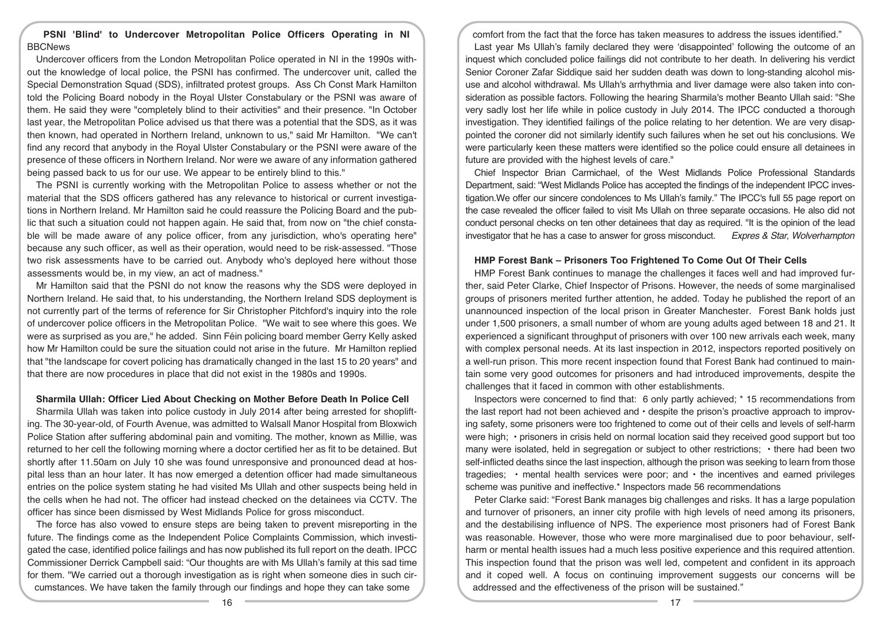## **PSNI 'Blind' to Undercover Metropolitan Police Officers Operating in NI** BBCNews

Undercover officers from the London Metropolitan Police operated in NI in the 1990s without the knowledge of local police, the PSNI has confirmed. The undercover unit, called the Special Demonstration Squad (SDS), infiltrated protest groups. Ass Ch Const Mark Hamilton told the Policing Board nobody in the Royal Ulster Constabulary or the PSNI was aware of them. He said they were "completely blind to their activities" and their presence. "In October last year, the Metropolitan Police advised us that there was a potential that the SDS, as it was then known, had operated in Northern Ireland, unknown to us," said Mr Hamilton. "We can't find any record that anybody in the Royal Ulster Constabulary or the PSNI were aware of the presence of these officers in Northern Ireland. Nor were we aware of any information gathered being passed back to us for our use. We appear to be entirely blind to this."

The PSNI is currently working with the Metropolitan Police to assess whether or not the material that the SDS officers gathered has any relevance to historical or current investigations in Northern Ireland. Mr Hamilton said he could reassure the Policing Board and the public that such a situation could not happen again. He said that, from now on "the chief constable will be made aware of any police officer, from any jurisdiction, who's operating here" because any such officer, as well as their operation, would need to be risk-assessed. "Those two risk assessments have to be carried out. Anybody who's deployed here without those assessments would be, in my view, an act of madness."

Mr Hamilton said that the PSNI do not know the reasons why the SDS were deployed in Northern Ireland. He said that, to his understanding, the Northern Ireland SDS deployment is not currently part of the terms of reference for Sir Christopher Pitchford's inquiry into the role of undercover police officers in the Metropolitan Police. "We wait to see where this goes. We were as surprised as you are," he added. Sinn Féin policing board member Gerry Kelly asked how Mr Hamilton could be sure the situation could not arise in the future. Mr Hamilton replied that "the landscape for covert policing has dramatically changed in the last 15 to 20 years" and that there are now procedures in place that did not exist in the 1980s and 1990s.

## **Sharmila Ullah: Officer Lied About Checking on Mother Before Death In Police Cell**

Sharmila Ullah was taken into police custody in July 2014 after being arrested for shoplifting. The 30-year-old, of Fourth Avenue, was admitted to Walsall Manor Hospital from Bloxwich Police Station after suffering abdominal pain and vomiting. The mother, known as Millie, was returned to her cell the following morning where a doctor certified her as fit to be detained. But shortly after 11.50am on July 10 she was found unresponsive and pronounced dead at hospital less than an hour later. It has now emerged a detention officer had made simultaneous entries on the police system stating he had visited Ms Ullah and other suspects being held in the cells when he had not. The officer had instead checked on the detainees via CCTV. The officer has since been dismissed by West Midlands Police for gross misconduct.

The force has also vowed to ensure steps are being taken to prevent misreporting in the future. The findings come as the Independent Police Complaints Commission, which investigated the case, identified police failings and has now published its full report on the death. IPCC Commissioner Derrick Campbell said: "Our thoughts are with Ms Ullah's family at this sad time for them. "We carried out a thorough investigation as is right when someone dies in such circumstances. We have taken the family through our findings and hope they can take some

comfort from the fact that the force has taken measures to address the issues identified." Last year Ms Ullah's family declared they were 'disappointed' following the outcome of an inquest which concluded police failings did not contribute to her death. In delivering his verdict Senior Coroner Zafar Siddique said her sudden death was down to long-standing alcohol misuse and alcohol withdrawal. Ms Ullah's arrhythmia and liver damage were also taken into consideration as possible factors. Following the hearing Sharmila's mother Beanto Ullah said: "She very sadly lost her life while in police custody in July 2014. The IPCC conducted a thorough investigation. They identified failings of the police relating to her detention. We are very disappointed the coroner did not similarly identify such failures when he set out his conclusions. We were particularly keen these matters were identified so the police could ensure all detainees in future are provided with the highest levels of care."

Chief Inspector Brian Carmichael, of the West Midlands Police Professional Standards Department, said: "West Midlands Police has accepted the findings of the independent IPCC investigation.We offer our sincere condolences to Ms Ullah's family." The IPCC's full 55 page report on the case revealed the officer failed to visit Ms Ullah on three separate occasions. He also did not conduct personal checks on ten other detainees that day as required. "It is the opinion of the lead investigator that he has a case to answer for gross misconduct. *Expres & Star, Wolverhampton*

#### **HMP Forest Bank – Prisoners Too Frightened To Come Out Of Their Cells**

HMP Forest Bank continues to manage the challenges it faces well and had improved further, said Peter Clarke, Chief Inspector of Prisons. However, the needs of some marginalised groups of prisoners merited further attention, he added. Today he published the report of an unannounced inspection of the local prison in Greater Manchester. Forest Bank holds just under 1,500 prisoners, a small number of whom are young adults aged between 18 and 21. It experienced a significant throughput of prisoners with over 100 new arrivals each week, many with complex personal needs. At its last inspection in 2012, inspectors reported positively on a well-run prison. This more recent inspection found that Forest Bank had continued to maintain some very good outcomes for prisoners and had introduced improvements, despite the challenges that it faced in common with other establishments.

Inspectors were concerned to find that: 6 only partly achieved; \* 15 recommendations from the last report had not been achieved and • despite the prison's proactive approach to improving safety, some prisoners were too frightened to come out of their cells and levels of self-harm were high; • prisoners in crisis held on normal location said they received good support but too many were isolated, held in segregation or subject to other restrictions; • there had been two self-inflicted deaths since the last inspection, although the prison was seeking to learn from those tragedies; • mental health services were poor; and • the incentives and earned privileges scheme was punitive and ineffective.\* Inspectors made 56 recommendations

Peter Clarke said: "Forest Bank manages big challenges and risks. It has a large population and turnover of prisoners, an inner city profile with high levels of need among its prisoners, and the destabilising influence of NPS. The experience most prisoners had of Forest Bank was reasonable. However, those who were more marginalised due to poor behaviour, selfharm or mental health issues had a much less positive experience and this required attention. This inspection found that the prison was well led, competent and confident in its approach and it coped well. A focus on continuing improvement suggests our concerns will be addressed and the effectiveness of the prison will be sustained."